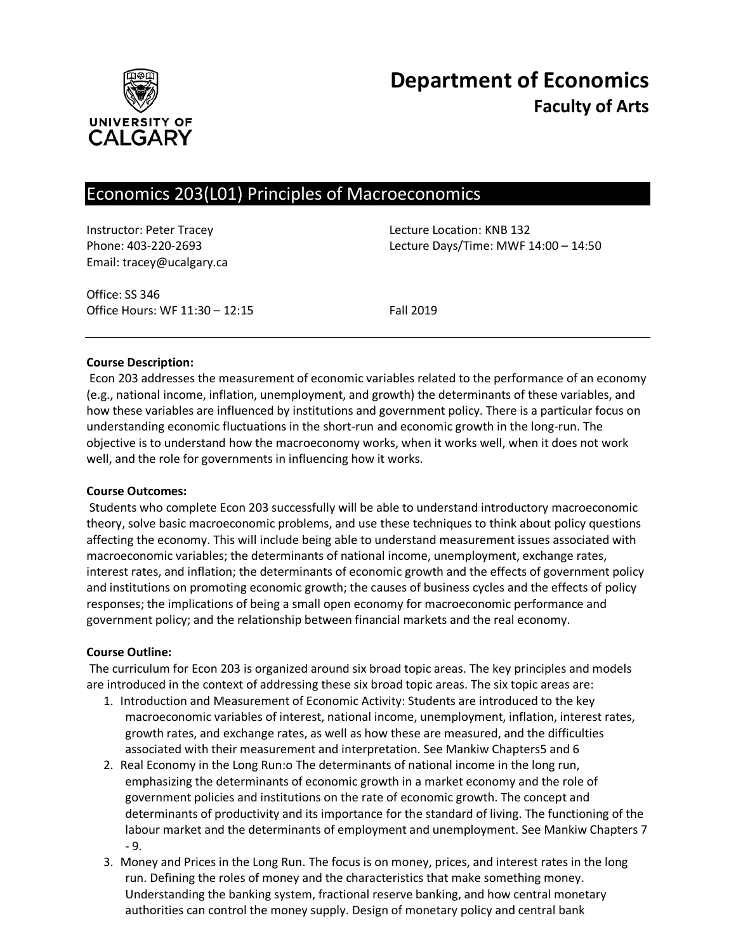

# Economics 203(L01) Principles of Macroeconomics

Email: tracey@ucalgary.ca

Instructor: Peter Tracey **Lecture Location: KNB 132** Phone: 403-220-2693 Lecture Days/Time: MWF 14:00 – 14:50

Office: SS 346 Office Hours: WF 11:30 – 12:15 Fall 2019

## **Course Description:**

Econ 203 addresses the measurement of economic variables related to the performance of an economy (e.g., national income, inflation, unemployment, and growth) the determinants of these variables, and how these variables are influenced by institutions and government policy. There is a particular focus on understanding economic fluctuations in the short-run and economic growth in the long-run. The objective is to understand how the macroeconomy works, when it works well, when it does not work well, and the role for governments in influencing how it works.

## **Course Outcomes:**

Students who complete Econ 203 successfully will be able to understand introductory macroeconomic theory, solve basic macroeconomic problems, and use these techniques to think about policy questions affecting the economy. This will include being able to understand measurement issues associated with macroeconomic variables; the determinants of national income, unemployment, exchange rates, interest rates, and inflation; the determinants of economic growth and the effects of government policy and institutions on promoting economic growth; the causes of business cycles and the effects of policy responses; the implications of being a small open economy for macroeconomic performance and government policy; and the relationship between financial markets and the real economy.

## **Course Outline:**

The curriculum for Econ 203 is organized around six broad topic areas. The key principles and models are introduced in the context of addressing these six broad topic areas. The six topic areas are:

- 1. Introduction and Measurement of Economic Activity: Students are introduced to the key macroeconomic variables of interest, national income, unemployment, inflation, interest rates, growth rates, and exchange rates, as well as how these are measured, and the difficulties associated with their measurement and interpretation. See Mankiw Chapters5 and 6
- 2. Real Economy in the Long Run:o The determinants of national income in the long run, emphasizing the determinants of economic growth in a market economy and the role of government policies and institutions on the rate of economic growth. The concept and determinants of productivity and its importance for the standard of living. The functioning of the labour market and the determinants of employment and unemployment. See Mankiw Chapters 7 - 9.
- 3. Money and Prices in the Long Run. The focus is on money, prices, and interest rates in the long run. Defining the roles of money and the characteristics that make something money. Understanding the banking system, fractional reserve banking, and how central monetary authorities can control the money supply. Design of monetary policy and central bank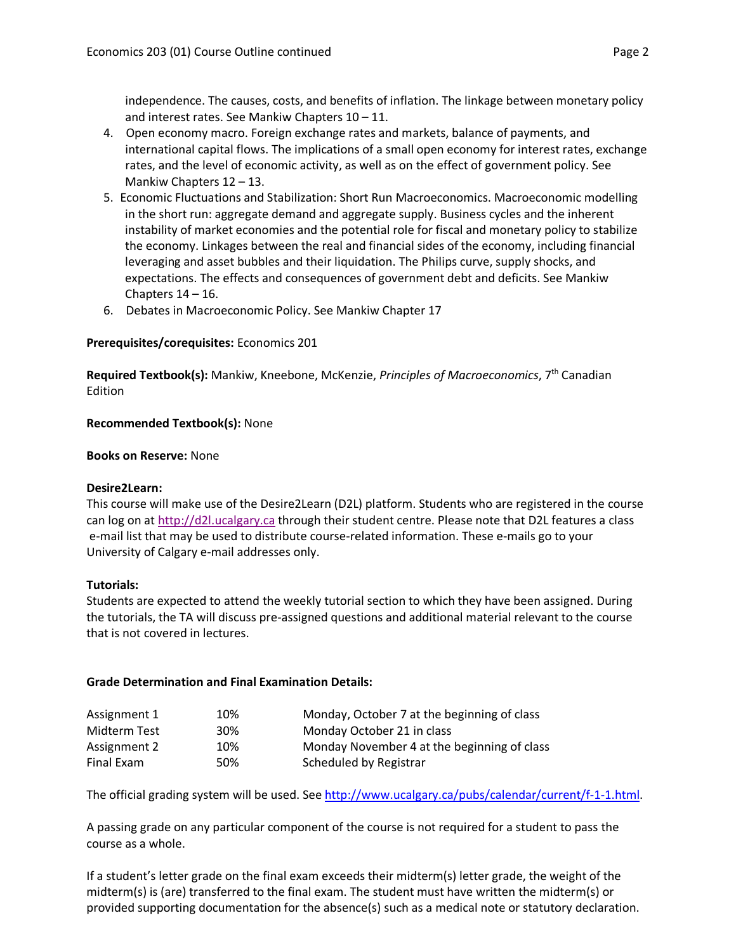independence. The causes, costs, and benefits of inflation. The linkage between monetary policy and interest rates. See Mankiw Chapters 10 – 11.

- 4. Open economy macro. Foreign exchange rates and markets, balance of payments, and international capital flows. The implications of a small open economy for interest rates, exchange rates, and the level of economic activity, as well as on the effect of government policy. See Mankiw Chapters 12 – 13.
- 5. Economic Fluctuations and Stabilization: Short Run Macroeconomics. Macroeconomic modelling in the short run: aggregate demand and aggregate supply. Business cycles and the inherent instability of market economies and the potential role for fiscal and monetary policy to stabilize the economy. Linkages between the real and financial sides of the economy, including financial leveraging and asset bubbles and their liquidation. The Philips curve, supply shocks, and expectations. The effects and consequences of government debt and deficits. See Mankiw Chapters  $14 - 16$ .
- 6. Debates in Macroeconomic Policy. See Mankiw Chapter 17

## **Prerequisites/corequisites:** Economics 201

**Required Textbook(s):** Mankiw, Kneebone, McKenzie, *Principles of Macroeconomics*, 7th Canadian Edition

## **Recommended Textbook(s):** None

## **Books on Reserve:** None

## **Desire2Learn:**

This course will make use of the Desire2Learn (D2L) platform. Students who are registered in the course can log on at [http://d2l.ucalgary.ca](http://d2l.ucalgary.ca/) through their student centre. Please note that D2L features a class e-mail list that may be used to distribute course-related information. These e-mails go to your University of Calgary e-mail addresses only.

## **Tutorials:**

Students are expected to attend the weekly tutorial section to which they have been assigned. During the tutorials, the TA will discuss pre-assigned questions and additional material relevant to the course that is not covered in lectures.

## **Grade Determination and Final Examination Details:**

| Assignment 1 | 10% | Monday, October 7 at the beginning of class |
|--------------|-----|---------------------------------------------|
| Midterm Test | 30% | Monday October 21 in class                  |
| Assignment 2 | 10% | Monday November 4 at the beginning of class |
| Final Exam   | 50% | Scheduled by Registrar                      |

The official grading system will be used. Se[e http://www.ucalgary.ca/pubs/calendar/current/f-1-1.html.](http://www.ucalgary.ca/pubs/calendar/current/f-1-1.html)

A passing grade on any particular component of the course is not required for a student to pass the course as a whole.

If a student's letter grade on the final exam exceeds their midterm(s) letter grade, the weight of the midterm(s) is (are) transferred to the final exam. The student must have written the midterm(s) or provided supporting documentation for the absence(s) such as a medical note or statutory declaration.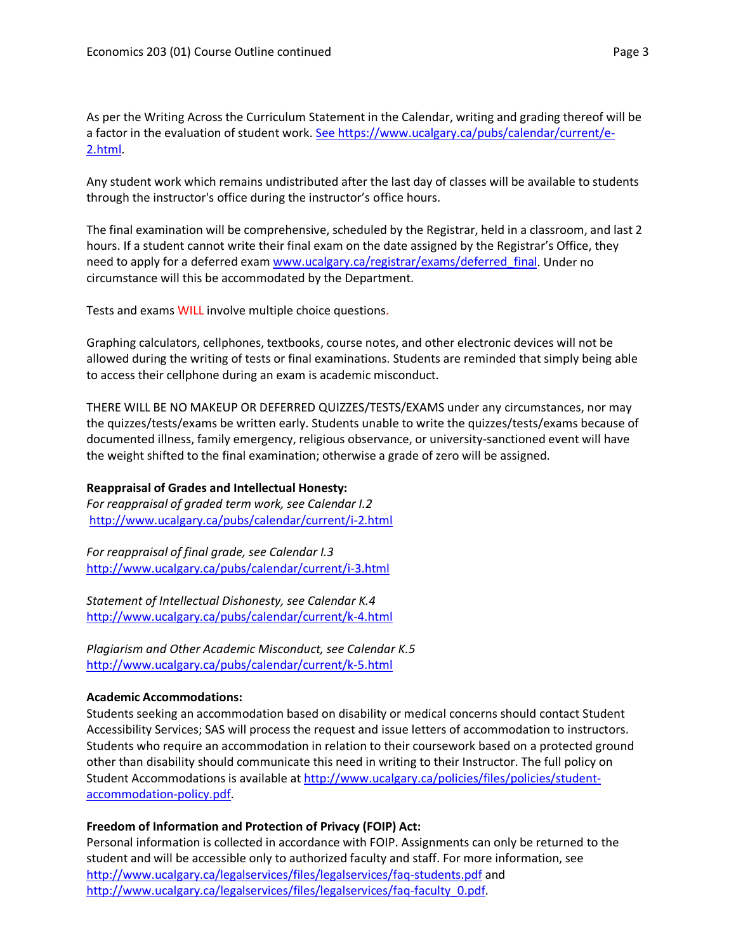As per the Writing Across the Curriculum Statement in the Calendar, writing and grading thereof will be a factor in the evaluation of student work. [See https://www.ucalgary.ca/pubs/calendar/current/e-](https://www.ucalgary.ca/pubs/calendar/current/e-2.html)[2.html.](https://www.ucalgary.ca/pubs/calendar/current/e-2.html)

Any student work which remains undistributed after the last day of classes will be available to students through the instructor's office during the instructor's office hours.

The final examination will be comprehensive, scheduled by the Registrar, held in a classroom, and last 2 hours. If a student cannot write their final exam on the date assigned by the Registrar's Office, they need to apply for a deferred exam [www.ucalgary.ca/registrar/exams/deferred\\_final.](http://www.ucalgary.ca/registrar/exams/deferred_final) Under no circumstance will this be accommodated by the Department.

Tests and exams WILL involve multiple choice questions.

Graphing calculators, cellphones, textbooks, course notes, and other electronic devices will not be allowed during the writing of tests or final examinations. Students are reminded that simply being able to access their cellphone during an exam is academic misconduct.

THERE WILL BE NO MAKEUP OR DEFERRED QUIZZES/TESTS/EXAMS under any circumstances, nor may the quizzes/tests/exams be written early. Students unable to write the quizzes/tests/exams because of documented illness, family emergency, religious observance, or university-sanctioned event will have the weight shifted to the final examination; otherwise a grade of zero will be assigned.

# **Reappraisal of Grades and Intellectual Honesty:**

*For reappraisal of graded term work, see Calendar I.2* <http://www.ucalgary.ca/pubs/calendar/current/i-2.html>

*For reappraisal of final grade, see Calendar I.3* <http://www.ucalgary.ca/pubs/calendar/current/i-3.html>

*Statement of Intellectual Dishonesty, see Calendar K.4* <http://www.ucalgary.ca/pubs/calendar/current/k-4.html>

*Plagiarism and Other Academic Misconduct, see Calendar K.5* <http://www.ucalgary.ca/pubs/calendar/current/k-5.html>

## **Academic Accommodations:**

Students seeking an accommodation based on disability or medical concerns should contact Student Accessibility Services; SAS will process the request and issue letters of accommodation to instructors. Students who require an accommodation in relation to their coursework based on a protected ground other than disability should communicate this need in writing to their Instructor. The full policy on Student Accommodations is available at [http://www.ucalgary.ca/policies/files/policies/student](http://www.ucalgary.ca/policies/files/policies/student-accommodation-policy.pdf)[accommodation-policy.pdf.](http://www.ucalgary.ca/policies/files/policies/student-accommodation-policy.pdf)

# **Freedom of Information and Protection of Privacy (FOIP) Act:**

Personal information is collected in accordance with FOIP. Assignments can only be returned to the student and will be accessible only to authorized faculty and staff. For more information, see <http://www.ucalgary.ca/legalservices/files/legalservices/faq-students.pdf> and [http://www.ucalgary.ca/legalservices/files/legalservices/faq-faculty\\_0.pdf.](http://www.ucalgary.ca/legalservices/files/legalservices/faq-faculty_0.pdf)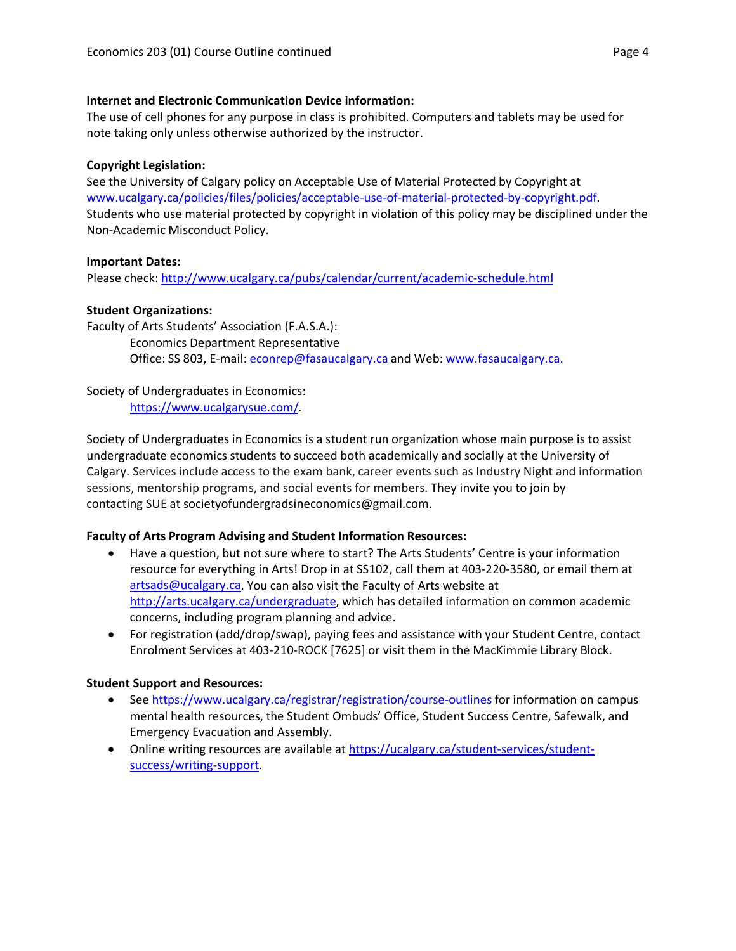## **Internet and Electronic Communication Device information:**

The use of cell phones for any purpose in class is prohibited. Computers and tablets may be used for note taking only unless otherwise authorized by the instructor.

# **Copyright Legislation:**

See the University of Calgary policy on Acceptable Use of Material Protected by Copyright at [www.ucalgary.ca/policies/files/policies/acceptable-use-of-material-protected-by-copyright.pdf.](http://www.ucalgary.ca/policies/files/policies/acceptable-use-of-material-protected-by-copyright.pdf) Students who use material protected by copyright in violation of this policy may be disciplined under the Non-Academic Misconduct Policy.

# **Important Dates:**

Please check:<http://www.ucalgary.ca/pubs/calendar/current/academic-schedule.html>

# **Student Organizations:**

Faculty of Arts Students' Association (F.A.S.A.): Economics Department Representative Office: SS 803, E-mail: [econrep@fasaucalgary.ca](mailto:econrep@fasaucalgary.ca) and Web: [www.fasaucalgary.ca.](http://www.fasaucalgary.ca/)

Society of Undergraduates in Economics: [https://www.ucalgarysue.com/.](https://www.ucalgarysue.com/)

Society of Undergraduates in Economics is a student run organization whose main purpose is to assist undergraduate economics students to succeed both academically and socially at the University of Calgary. Services include access to the exam bank, career events such as Industry Night and information sessions, mentorship programs, and social events for members. They invite you to join by contacting SUE at societyofundergradsineconomics@gmail.com.

# **Faculty of Arts Program Advising and Student Information Resources:**

- Have a question, but not sure where to start? The Arts Students' Centre is your information resource for everything in Arts! Drop in at SS102, call them at 403-220-3580, or email them at [artsads@ucalgary.ca.](mailto:artsads@ucalgary.ca) You can also visit the Faculty of Arts website at [http://arts.ucalgary.ca/undergraduate,](http://arts.ucalgary.ca/undergraduate) which has detailed information on common academic concerns, including program planning and advice.
- For registration (add/drop/swap), paying fees and assistance with your Student Centre, contact Enrolment Services at 403-210-ROCK [7625] or visit them in the MacKimmie Library Block.

# **Student Support and Resources:**

- See https://www.ucalgary.ca/registrar/registration/course-outlines for information on campus mental health resources, the Student Ombuds' Office, Student Success Centre, Safewalk, and Emergency Evacuation and Assembly.
- Online writing resources are available at [https://ucalgary.ca/student-services/student](https://ucalgary.ca/student-services/student-success/writing-support)[success/writing-support.](https://ucalgary.ca/student-services/student-success/writing-support)